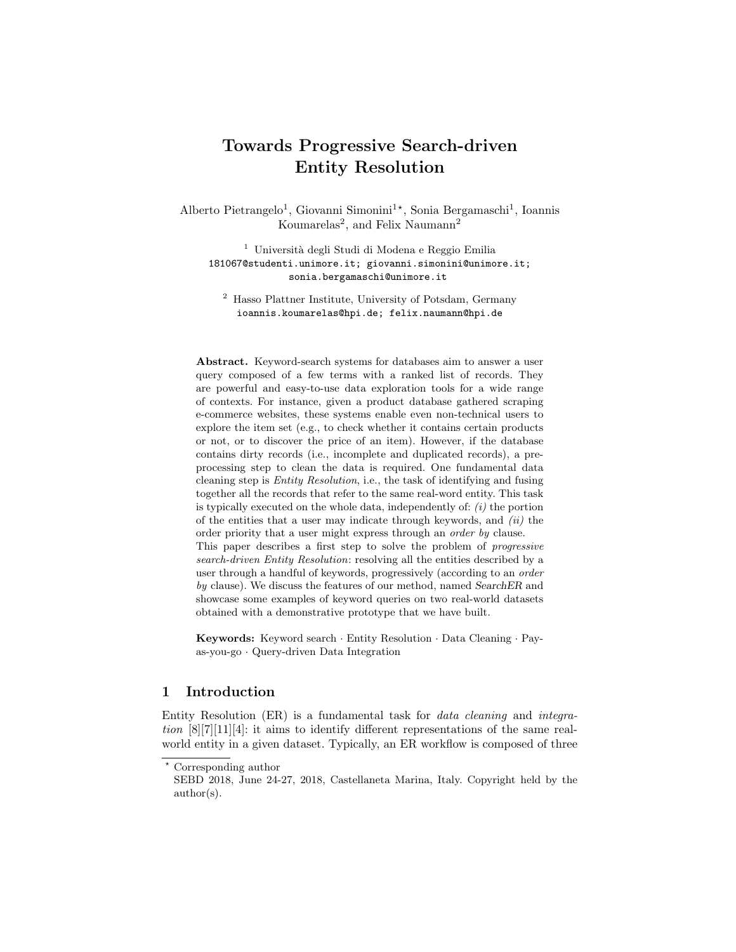# Towards Progressive Search-driven Entity Resolution

Alberto Pietrangelo<sup>1</sup>, Giovanni Simonini<sup>1\*</sup>, Sonia Bergamaschi<sup>1</sup>, Ioannis Koumarelas<sup>2</sup>, and Felix Naumann<sup>2</sup>

<sup>1</sup> Università degli Studi di Modena e Reggio Emilia 181067@studenti.unimore.it; giovanni.simonini@unimore.it; sonia.bergamaschi@unimore.it

<sup>2</sup> Hasso Plattner Institute, University of Potsdam, Germany ioannis.koumarelas@hpi.de; felix.naumann@hpi.de

Abstract. Keyword-search systems for databases aim to answer a user query composed of a few terms with a ranked list of records. They are powerful and easy-to-use data exploration tools for a wide range of contexts. For instance, given a product database gathered scraping e-commerce websites, these systems enable even non-technical users to explore the item set (e.g., to check whether it contains certain products or not, or to discover the price of an item). However, if the database contains dirty records (i.e., incomplete and duplicated records), a preprocessing step to clean the data is required. One fundamental data cleaning step is Entity Resolution, i.e., the task of identifying and fusing together all the records that refer to the same real-word entity. This task is typically executed on the whole data, independently of:  $(i)$  the portion of the entities that a user may indicate through keywords, and  $(ii)$  the order priority that a user might express through an *order by* clause. This paper describes a first step to solve the problem of progressive search-driven Entity Resolution: resolving all the entities described by a user through a handful of keywords, progressively (according to an order by clause). We discuss the features of our method, named SearchER and showcase some examples of keyword queries on two real-world datasets obtained with a demonstrative prototype that we have built.

Keywords: Keyword search · Entity Resolution · Data Cleaning · Payas-you-go · Query-driven Data Integration

## 1 Introduction

Entity Resolution (ER) is a fundamental task for data cleaning and integration  $[8][7][11][4]$ : it aims to identify different representations of the same realworld entity in a given dataset. Typically, an ER workflow is composed of three

<sup>?</sup> Corresponding author

SEBD 2018, June 24-27, 2018, Castellaneta Marina, Italy. Copyright held by the author(s).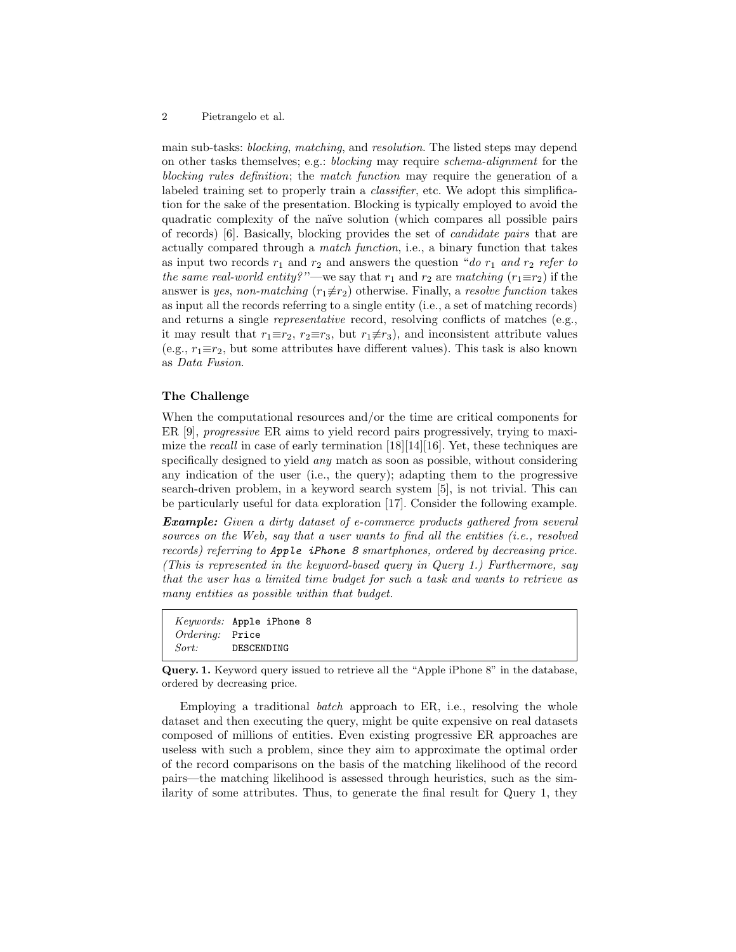#### 2 Pietrangelo et al.

main sub-tasks: blocking, matching, and resolution. The listed steps may depend on other tasks themselves; e.g.: blocking may require schema-alignment for the blocking rules definition; the match function may require the generation of a labeled training set to properly train a *classifier*, etc. We adopt this simplification for the sake of the presentation. Blocking is typically employed to avoid the quadratic complexity of the na¨ıve solution (which compares all possible pairs of records) [6]. Basically, blocking provides the set of candidate pairs that are actually compared through a match function, i.e., a binary function that takes as input two records  $r_1$  and  $r_2$  and answers the question "do  $r_1$  and  $r_2$  refer to the same real-world entity?''—we say that  $r_1$  and  $r_2$  are matching  $(r_1 \equiv r_2)$  if the answer is yes, non-matching  $(r_1 \not\equiv r_2)$  otherwise. Finally, a resolve function takes as input all the records referring to a single entity (i.e., a set of matching records) and returns a single representative record, resolving conflicts of matches (e.g., it may result that  $r_1 \equiv r_2$ ,  $r_2 \equiv r_3$ , but  $r_1 \not\equiv r_3$ ), and inconsistent attribute values (e.g.,  $r_1 \equiv r_2$ , but some attributes have different values). This task is also known as Data Fusion.

### The Challenge

When the computational resources and/or the time are critical components for ER [9], progressive ER aims to yield record pairs progressively, trying to maximize the recall in case of early termination [18][14][16]. Yet, these techniques are specifically designed to yield any match as soon as possible, without considering any indication of the user (i.e., the query); adapting them to the progressive search-driven problem, in a keyword search system [5], is not trivial. This can be particularly useful for data exploration [17]. Consider the following example.

Example: Given a dirty dataset of e-commerce products gathered from several sources on the Web, say that a user wants to find all the entities (i.e., resolved records) referring to Apple iPhone 8 smartphones, ordered by decreasing price. (This is represented in the keyword-based query in Query 1.) Furthermore, say that the user has a limited time budget for such a task and wants to retrieve as many entities as possible within that budget.

```
Keywords: Apple iPhone 8
Ordering: Price
Sort: DESCENDING
```
Query. 1. Keyword query issued to retrieve all the "Apple iPhone 8" in the database, ordered by decreasing price.

Employing a traditional *batch* approach to ER, i.e., resolving the whole dataset and then executing the query, might be quite expensive on real datasets composed of millions of entities. Even existing progressive ER approaches are useless with such a problem, since they aim to approximate the optimal order of the record comparisons on the basis of the matching likelihood of the record pairs—the matching likelihood is assessed through heuristics, such as the similarity of some attributes. Thus, to generate the final result for Query 1, they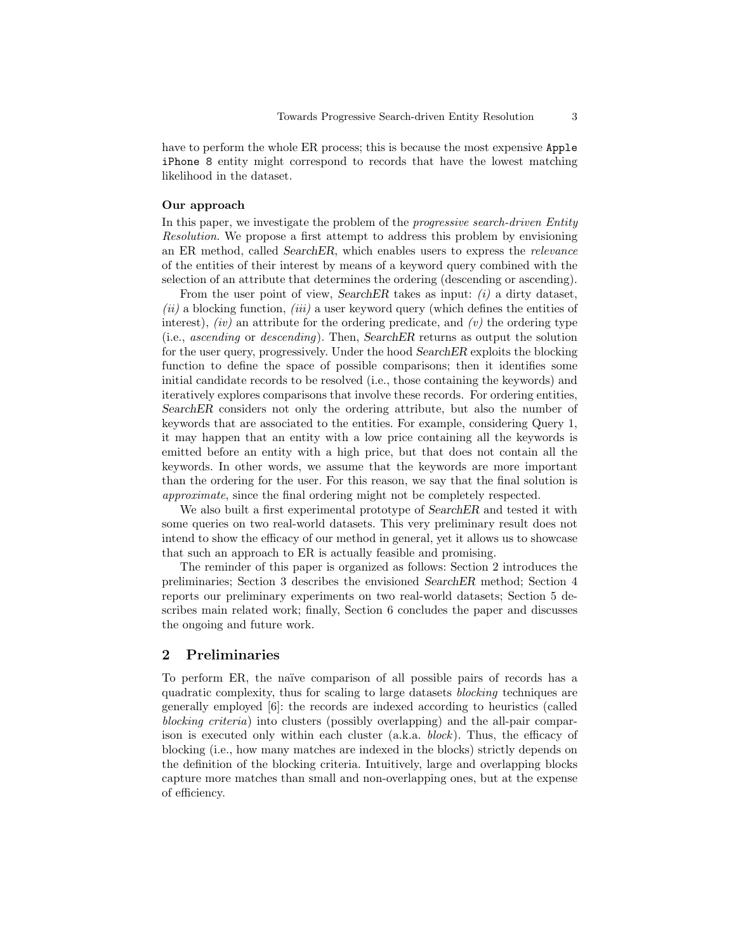have to perform the whole ER process; this is because the most expensive Apple iPhone 8 entity might correspond to records that have the lowest matching likelihood in the dataset.

#### Our approach

In this paper, we investigate the problem of the *progressive search-driven Entity* Resolution. We propose a first attempt to address this problem by envisioning an ER method, called SearchER, which enables users to express the relevance of the entities of their interest by means of a keyword query combined with the selection of an attribute that determines the ordering (descending or ascending).

From the user point of view, SearchER takes as input:  $(i)$  a dirty dataset,  $(ii)$  a blocking function,  $(iii)$  a user keyword query (which defines the entities of interest), *(iv)* an attribute for the ordering predicate, and *(v)* the ordering type (i.e., ascending or descending). Then, SearchER returns as output the solution for the user query, progressively. Under the hood SearchER exploits the blocking function to define the space of possible comparisons; then it identifies some initial candidate records to be resolved (i.e., those containing the keywords) and iteratively explores comparisons that involve these records. For ordering entities, SearchER considers not only the ordering attribute, but also the number of keywords that are associated to the entities. For example, considering Query 1, it may happen that an entity with a low price containing all the keywords is emitted before an entity with a high price, but that does not contain all the keywords. In other words, we assume that the keywords are more important than the ordering for the user. For this reason, we say that the final solution is approximate, since the final ordering might not be completely respected.

We also built a first experimental prototype of SearchER and tested it with some queries on two real-world datasets. This very preliminary result does not intend to show the efficacy of our method in general, yet it allows us to showcase that such an approach to ER is actually feasible and promising.

The reminder of this paper is organized as follows: Section 2 introduces the preliminaries; Section 3 describes the envisioned SearchER method; Section 4 reports our preliminary experiments on two real-world datasets; Section 5 describes main related work; finally, Section 6 concludes the paper and discusses the ongoing and future work.

## 2 Preliminaries

To perform ER, the naïve comparison of all possible pairs of records has a quadratic complexity, thus for scaling to large datasets blocking techniques are generally employed [6]: the records are indexed according to heuristics (called blocking criteria) into clusters (possibly overlapping) and the all-pair comparison is executed only within each cluster (a.k.a. block). Thus, the efficacy of blocking (i.e., how many matches are indexed in the blocks) strictly depends on the definition of the blocking criteria. Intuitively, large and overlapping blocks capture more matches than small and non-overlapping ones, but at the expense of efficiency.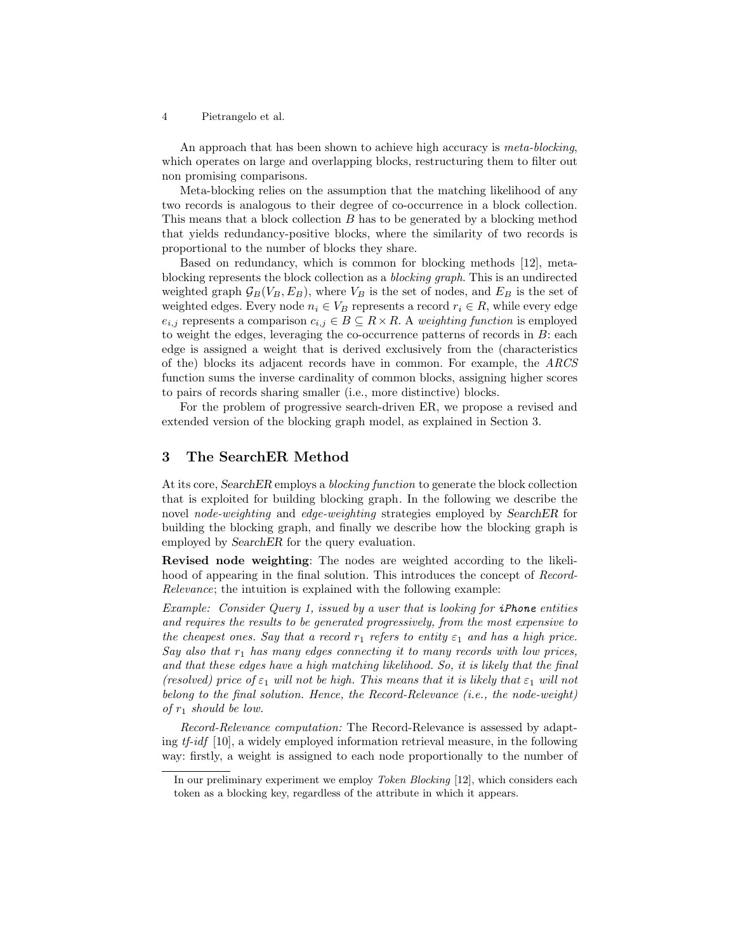#### 4 Pietrangelo et al.

An approach that has been shown to achieve high accuracy is *meta-blocking*, which operates on large and overlapping blocks, restructuring them to filter out non promising comparisons.

Meta-blocking relies on the assumption that the matching likelihood of any two records is analogous to their degree of co-occurrence in a block collection. This means that a block collection B has to be generated by a blocking method that yields redundancy-positive blocks, where the similarity of two records is proportional to the number of blocks they share.

Based on redundancy, which is common for blocking methods [12], metablocking represents the block collection as a blocking graph. This is an undirected weighted graph  $\mathcal{G}_B(V_B, E_B)$ , where  $V_B$  is the set of nodes, and  $E_B$  is the set of weighted edges. Every node  $n_i \in V_B$  represents a record  $r_i \in R$ , while every edge  $e_{i,j}$  represents a comparison  $c_{i,j} \in B \subseteq R \times R$ . A weighting function is employed to weight the edges, leveraging the co-occurrence patterns of records in  $B$ : each edge is assigned a weight that is derived exclusively from the (characteristics of the) blocks its adjacent records have in common. For example, the ARCS function sums the inverse cardinality of common blocks, assigning higher scores to pairs of records sharing smaller (i.e., more distinctive) blocks.

For the problem of progressive search-driven ER, we propose a revised and extended version of the blocking graph model, as explained in Section 3.

## 3 The SearchER Method

At its core, SearchER employs a blocking function to generate the block collection that is exploited for building blocking graph. In the following we describe the novel node-weighting and edge-weighting strategies employed by SearchER for building the blocking graph, and finally we describe how the blocking graph is employed by SearchER for the query evaluation.

Revised node weighting: The nodes are weighted according to the likelihood of appearing in the final solution. This introduces the concept of Record-Relevance; the intuition is explained with the following example:

Example: Consider Query 1, issued by a user that is looking for iPhone entities and requires the results to be generated progressively, from the most expensive to the cheapest ones. Say that a record  $r_1$  refers to entity  $\varepsilon_1$  and has a high price. Say also that  $r_1$  has many edges connecting it to many records with low prices, and that these edges have a high matching likelihood. So, it is likely that the final (resolved) price of  $\varepsilon_1$  will not be high. This means that it is likely that  $\varepsilon_1$  will not belong to the final solution. Hence, the Record-Relevance (i.e., the node-weight) of  $r_1$  should be low.

Record-Relevance computation: The Record-Relevance is assessed by adapting  $tf-idf$  [10], a widely employed information retrieval measure, in the following way: firstly, a weight is assigned to each node proportionally to the number of

In our preliminary experiment we employ Token Blocking [12], which considers each token as a blocking key, regardless of the attribute in which it appears.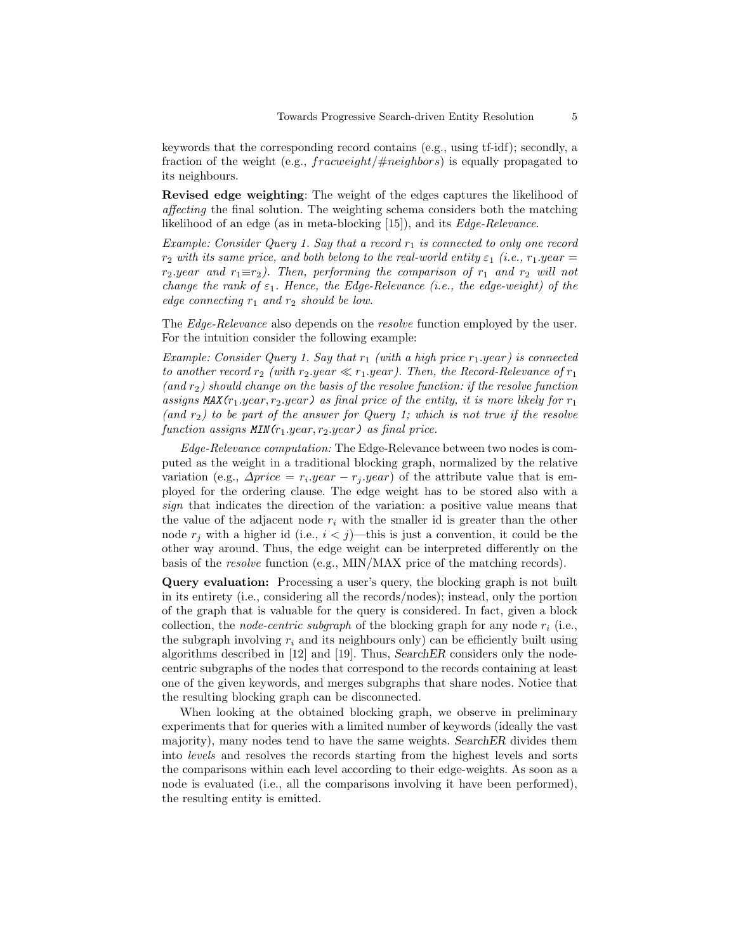keywords that the corresponding record contains (e.g., using tf-idf); secondly, a fraction of the weight (e.g.,  $fracweight/\#neighbors$ ) is equally propagated to its neighbours.

Revised edge weighting: The weight of the edges captures the likelihood of affecting the final solution. The weighting schema considers both the matching likelihood of an edge (as in meta-blocking [15]), and its Edge-Relevance.

Example: Consider Query 1. Say that a record  $r_1$  is connected to only one record  $r_2$  with its same price, and both belong to the real-world entity  $\varepsilon_1$  (i.e.,  $r_1$ .year = r<sub>2</sub>.year and r<sub>1</sub> $\equiv$ r<sub>2</sub>). Then, performing the comparison of r<sub>1</sub> and r<sub>2</sub> will not change the rank of  $\varepsilon_1$ . Hence, the Edge-Relevance (i.e., the edge-weight) of the edge connecting  $r_1$  and  $r_2$  should be low.

The *Edge-Relevance* also depends on the *resolve* function employed by the user. For the intuition consider the following example:

Example: Consider Query 1. Say that  $r_1$  (with a high price  $r_1$  year) is connected to another record  $r_2$  (with  $r_2 \cdot year \ll r_1 \cdot year$ ). Then, the Record-Relevance of  $r_1$  $(and r<sub>2</sub>)$  should change on the basis of the resolve function: if the resolve function assigns MAX( $r_1, \text{year}, r_2, \text{year}$ ) as final price of the entity, it is more likely for  $r_1$ (and  $r_2$ ) to be part of the answer for Query 1; which is not true if the resolve function assigns  $MIN(r_1, year, r_2, year)$  as final price.

Edge-Relevance computation: The Edge-Relevance between two nodes is computed as the weight in a traditional blocking graph, normalized by the relative variation (e.g.,  $\Delta price = r_i year - r_j year$ ) of the attribute value that is employed for the ordering clause. The edge weight has to be stored also with a sign that indicates the direction of the variation: a positive value means that the value of the adjacent node  $r_i$  with the smaller id is greater than the other node  $r_j$  with a higher id (i.e.,  $i < j$ )—this is just a convention, it could be the other way around. Thus, the edge weight can be interpreted differently on the basis of the resolve function (e.g., MIN/MAX price of the matching records).

Query evaluation: Processing a user's query, the blocking graph is not built in its entirety (i.e., considering all the records/nodes); instead, only the portion of the graph that is valuable for the query is considered. In fact, given a block collection, the node-centric subgraph of the blocking graph for any node  $r_i$  (i.e., the subgraph involving  $r_i$  and its neighbours only) can be efficiently built using algorithms described in [12] and [19]. Thus, SearchER considers only the nodecentric subgraphs of the nodes that correspond to the records containing at least one of the given keywords, and merges subgraphs that share nodes. Notice that the resulting blocking graph can be disconnected.

When looking at the obtained blocking graph, we observe in preliminary experiments that for queries with a limited number of keywords (ideally the vast majority), many nodes tend to have the same weights. SearchER divides them into levels and resolves the records starting from the highest levels and sorts the comparisons within each level according to their edge-weights. As soon as a node is evaluated (i.e., all the comparisons involving it have been performed), the resulting entity is emitted.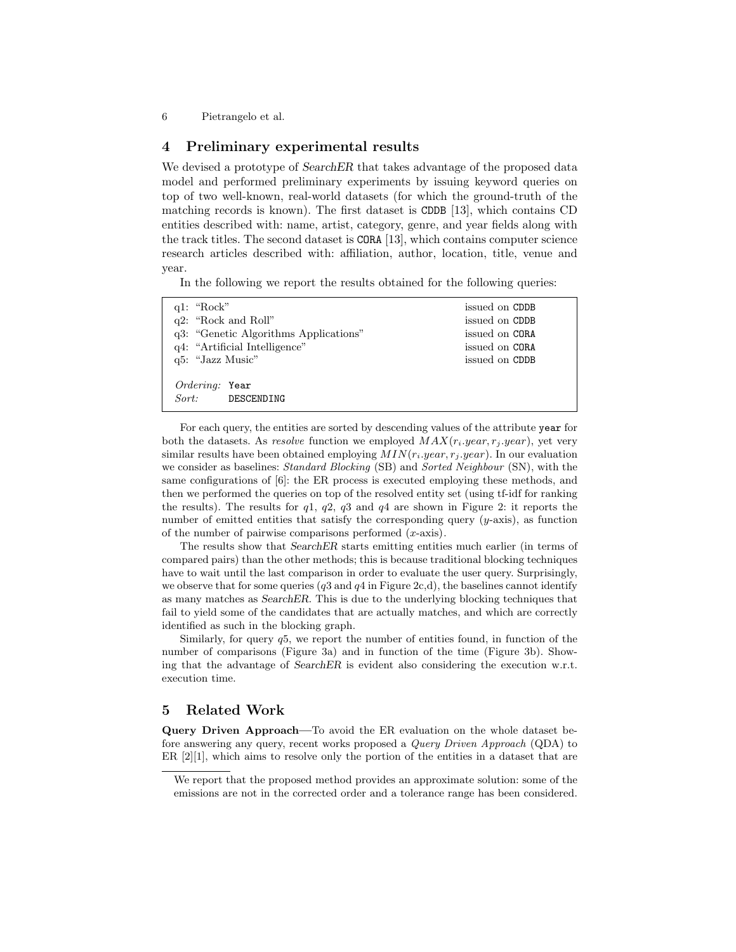6 Pietrangelo et al.

## 4 Preliminary experimental results

We devised a prototype of *SearchER* that takes advantage of the proposed data model and performed preliminary experiments by issuing keyword queries on top of two well-known, real-world datasets (for which the ground-truth of the matching records is known). The first dataset is CDDB [13], which contains CD entities described with: name, artist, category, genre, and year fields along with the track titles. The second dataset is CORA [13], which contains computer science research articles described with: affiliation, author, location, title, venue and year.

In the following we report the results obtained for the following queries:

| q1: "Rock"<br>q2: "Rock and Roll"<br>q5: "Jazz Music" | q3: "Genetic Algorithms Applications"<br>q4: "Artificial Intelligence" | issued on CDDB<br>issued on CDDB<br>issued on CORA<br>issued on CORA<br>issued on CDDB |
|-------------------------------------------------------|------------------------------------------------------------------------|----------------------------------------------------------------------------------------|
| <i>Ordering:</i> Year                                 | <i>Sort:</i> DESCENDING                                                |                                                                                        |

For each query, the entities are sorted by descending values of the attribute year for both the datasets. As resolve function we employed  $MAX(r_i, year, r_i, year)$ , yet very similar results have been obtained employing  $MIN(r_i, year, r_i, year)$ . In our evaluation we consider as baselines: *Standard Blocking* (SB) and *Sorted Neighbour* (SN), with the same configurations of [6]: the ER process is executed employing these methods, and then we performed the queries on top of the resolved entity set (using tf-idf for ranking the results). The results for  $q_1$ ,  $q_2$ ,  $q_3$  and  $q_4$  are shown in Figure 2: it reports the number of emitted entities that satisfy the corresponding query  $(y\text{-axis})$ , as function of the number of pairwise comparisons performed  $(x\text{-axis})$ .

The results show that SearchER starts emitting entities much earlier (in terms of compared pairs) than the other methods; this is because traditional blocking techniques have to wait until the last comparison in order to evaluate the user query. Surprisingly, we observe that for some queries ( $q3$  and  $q4$  in Figure 2c,d), the baselines cannot identify as many matches as SearchER. This is due to the underlying blocking techniques that fail to yield some of the candidates that are actually matches, and which are correctly identified as such in the blocking graph.

Similarly, for query q5, we report the number of entities found, in function of the number of comparisons (Figure 3a) and in function of the time (Figure 3b). Showing that the advantage of SearchER is evident also considering the execution w.r.t. execution time.

## 5 Related Work

Query Driven Approach—To avoid the ER evaluation on the whole dataset before answering any query, recent works proposed a Query Driven Approach (QDA) to ER  $[2][1]$ , which aims to resolve only the portion of the entities in a dataset that are

We report that the proposed method provides an approximate solution: some of the emissions are not in the corrected order and a tolerance range has been considered.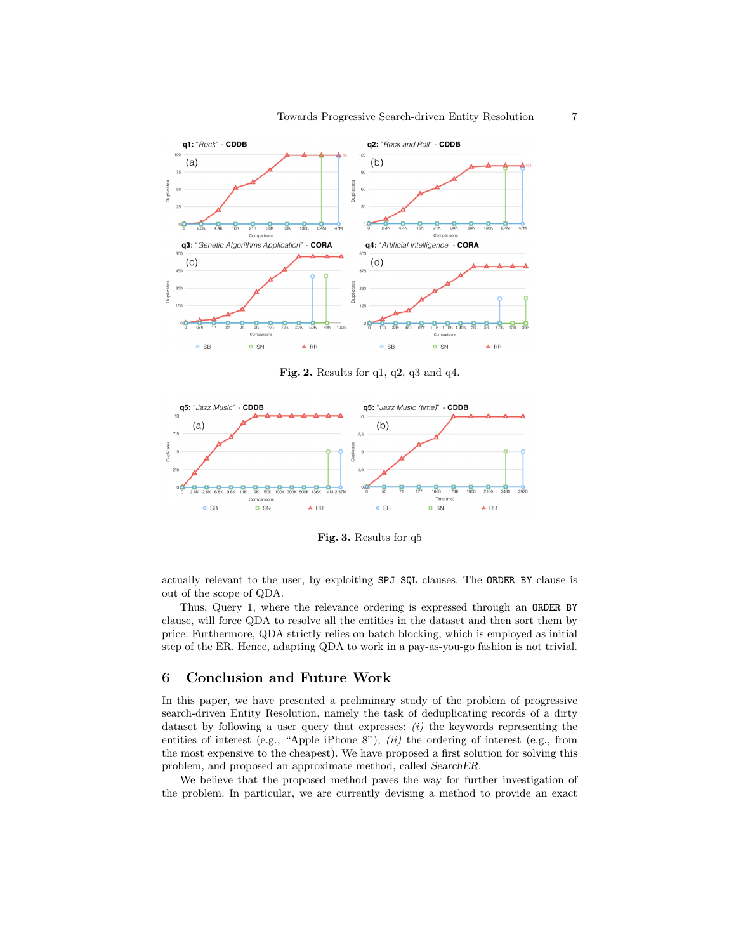

Fig. 2. Results for  $q1$ ,  $q2$ ,  $q3$  and  $q4$ .



Fig. 3. Results for q5

actually relevant to the user, by exploiting SPJ SQL clauses. The ORDER BY clause is out of the scope of QDA.

Thus, Query 1, where the relevance ordering is expressed through an ORDER BY clause, will force QDA to resolve all the entities in the dataset and then sort them by price. Furthermore, QDA strictly relies on batch blocking, which is employed as initial step of the ER. Hence, adapting QDA to work in a pay-as-you-go fashion is not trivial.

## 6 Conclusion and Future Work

In this paper, we have presented a preliminary study of the problem of progressive search-driven Entity Resolution, namely the task of deduplicating records of a dirty dataset by following a user query that expresses:  $(i)$  the keywords representing the entities of interest (e.g., "Apple iPhone 8"); (ii) the ordering of interest (e.g., from the most expensive to the cheapest). We have proposed a first solution for solving this problem, and proposed an approximate method, called SearchER.

We believe that the proposed method paves the way for further investigation of the problem. In particular, we are currently devising a method to provide an exact